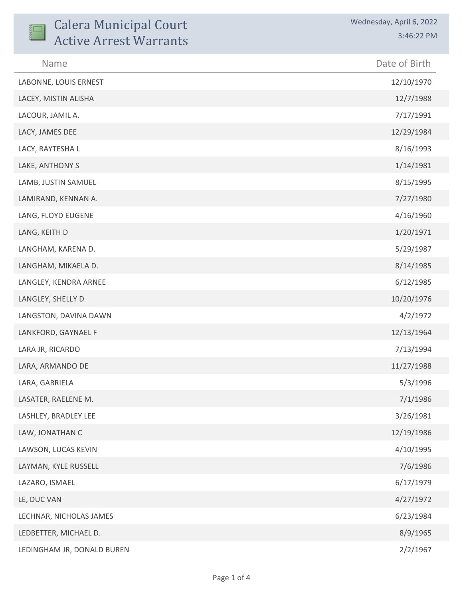| <b>Calera Municipal Court</b><br><b>Active Arrest Warrants</b> | Wednesday, April 6, 2022<br>3:46:22 PM |
|----------------------------------------------------------------|----------------------------------------|
| Name                                                           | Date of Birth                          |
| LABONNE, LOUIS ERNEST                                          | 12/10/1970                             |
| LACEY, MISTIN ALISHA                                           | 12/7/1988                              |
| LACOUR, JAMIL A.                                               | 7/17/1991                              |
| LACY, JAMES DEE                                                | 12/29/1984                             |
| LACY, RAYTESHA L                                               | 8/16/1993                              |
| LAKE, ANTHONY S                                                | 1/14/1981                              |
| LAMB, JUSTIN SAMUEL                                            | 8/15/1995                              |
| LAMIRAND, KENNAN A.                                            | 7/27/1980                              |
| LANG, FLOYD EUGENE                                             | 4/16/1960                              |
| LANG, KEITH D                                                  | 1/20/1971                              |
| LANGHAM, KARENA D.                                             | 5/29/1987                              |
| LANGHAM, MIKAELA D.                                            | 8/14/1985                              |
| LANGLEY, KENDRA ARNEE                                          | 6/12/1985                              |
| LANGLEY, SHELLY D                                              | 10/20/1976                             |
| LANGSTON, DAVINA DAWN                                          | 4/2/1972                               |
| LANKFORD, GAYNAEL F                                            | 12/13/1964                             |
| LARA JR, RICARDO                                               | 7/13/1994                              |
| LARA, ARMANDO DE                                               | 11/27/1988                             |
| LARA, GABRIELA                                                 | 5/3/1996                               |
| LASATER, RAELENE M.                                            | 7/1/1986                               |
| LASHLEY, BRADLEY LEE                                           | 3/26/1981                              |
| LAW, JONATHAN C                                                | 12/19/1986                             |
| LAWSON, LUCAS KEVIN                                            | 4/10/1995                              |
| LAYMAN, KYLE RUSSELL                                           | 7/6/1986                               |
| LAZARO, ISMAEL                                                 | 6/17/1979                              |
| LE, DUC VAN                                                    | 4/27/1972                              |
| LECHNAR, NICHOLAS JAMES                                        | 6/23/1984                              |
| LEDBETTER, MICHAEL D.                                          | 8/9/1965                               |
| LEDINGHAM JR, DONALD BUREN                                     | 2/2/1967                               |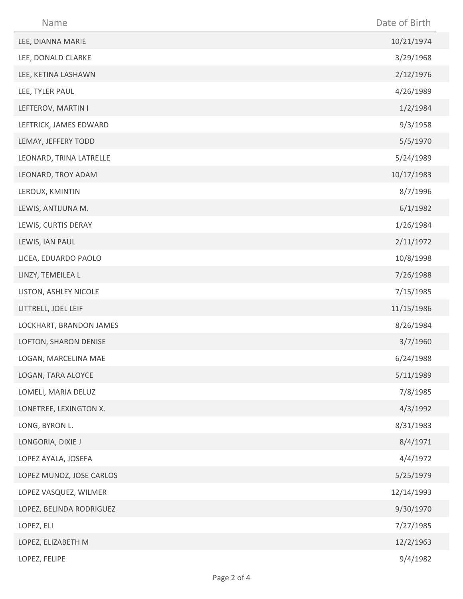| Name                     | Date of Birth |
|--------------------------|---------------|
| LEE, DIANNA MARIE        | 10/21/1974    |
| LEE, DONALD CLARKE       | 3/29/1968     |
| LEE, KETINA LASHAWN      | 2/12/1976     |
| LEE, TYLER PAUL          | 4/26/1989     |
| LEFTEROV, MARTIN I       | 1/2/1984      |
| LEFTRICK, JAMES EDWARD   | 9/3/1958      |
| LEMAY, JEFFERY TODD      | 5/5/1970      |
| LEONARD, TRINA LATRELLE  | 5/24/1989     |
| LEONARD, TROY ADAM       | 10/17/1983    |
| LEROUX, KMINTIN          | 8/7/1996      |
| LEWIS, ANTIJUNA M.       | 6/1/1982      |
| LEWIS, CURTIS DERAY      | 1/26/1984     |
| LEWIS, IAN PAUL          | 2/11/1972     |
| LICEA, EDUARDO PAOLO     | 10/8/1998     |
| LINZY, TEMEILEA L        | 7/26/1988     |
| LISTON, ASHLEY NICOLE    | 7/15/1985     |
| LITTRELL, JOEL LEIF      | 11/15/1986    |
| LOCKHART, BRANDON JAMES  | 8/26/1984     |
| LOFTON, SHARON DENISE    | 3/7/1960      |
| LOGAN, MARCELINA MAE     | 6/24/1988     |
| LOGAN, TARA ALOYCE       | 5/11/1989     |
| LOMELI, MARIA DELUZ      | 7/8/1985      |
| LONETREE, LEXINGTON X.   | 4/3/1992      |
| LONG, BYRON L.           | 8/31/1983     |
| LONGORIA, DIXIE J        | 8/4/1971      |
| LOPEZ AYALA, JOSEFA      | 4/4/1972      |
| LOPEZ MUNOZ, JOSE CARLOS | 5/25/1979     |
| LOPEZ VASQUEZ, WILMER    | 12/14/1993    |
| LOPEZ, BELINDA RODRIGUEZ | 9/30/1970     |
| LOPEZ, ELI               | 7/27/1985     |
| LOPEZ, ELIZABETH M       | 12/2/1963     |
| LOPEZ, FELIPE            | 9/4/1982      |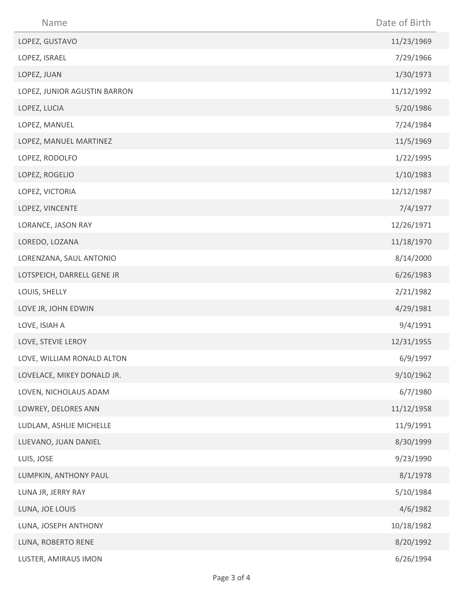| Name                         | Date of Birth |
|------------------------------|---------------|
| LOPEZ, GUSTAVO               | 11/23/1969    |
| LOPEZ, ISRAEL                | 7/29/1966     |
| LOPEZ, JUAN                  | 1/30/1973     |
| LOPEZ, JUNIOR AGUSTIN BARRON | 11/12/1992    |
| LOPEZ, LUCIA                 | 5/20/1986     |
| LOPEZ, MANUEL                | 7/24/1984     |
| LOPEZ, MANUEL MARTINEZ       | 11/5/1969     |
| LOPEZ, RODOLFO               | 1/22/1995     |
| LOPEZ, ROGELIO               | 1/10/1983     |
| LOPEZ, VICTORIA              | 12/12/1987    |
| LOPEZ, VINCENTE              | 7/4/1977      |
| LORANCE, JASON RAY           | 12/26/1971    |
| LOREDO, LOZANA               | 11/18/1970    |
| LORENZANA, SAUL ANTONIO      | 8/14/2000     |
| LOTSPEICH, DARRELL GENE JR   | 6/26/1983     |
| LOUIS, SHELLY                | 2/21/1982     |
| LOVE JR, JOHN EDWIN          | 4/29/1981     |
| LOVE, ISIAH A                | 9/4/1991      |
| LOVE, STEVIE LEROY           | 12/31/1955    |
| LOVE, WILLIAM RONALD ALTON   | 6/9/1997      |
| LOVELACE, MIKEY DONALD JR.   | 9/10/1962     |
| LOVEN, NICHOLAUS ADAM        | 6/7/1980      |
| LOWREY, DELORES ANN          | 11/12/1958    |
| LUDLAM, ASHLIE MICHELLE      | 11/9/1991     |
| LUEVANO, JUAN DANIEL         | 8/30/1999     |
| LUIS, JOSE                   | 9/23/1990     |
| LUMPKIN, ANTHONY PAUL        | 8/1/1978      |
| LUNA JR, JERRY RAY           | 5/10/1984     |
| LUNA, JOE LOUIS              | 4/6/1982      |
| LUNA, JOSEPH ANTHONY         | 10/18/1982    |
| LUNA, ROBERTO RENE           | 8/20/1992     |
| LUSTER, AMIRAUS IMON         | 6/26/1994     |